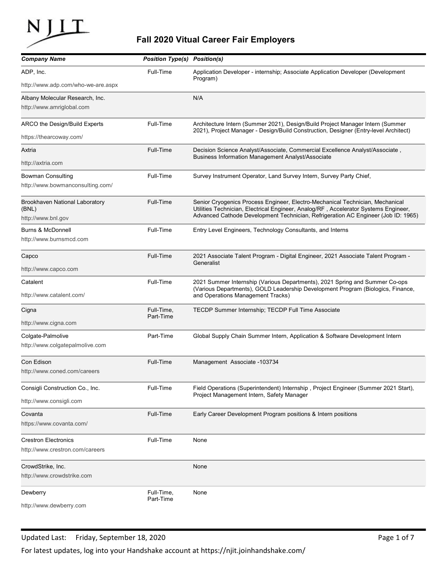

## Fall 2020 Vitual Career Fair Employers

|                                                                |                                     | Fall 2020 Vitual Career Fair Employers                                                                                                                                                                                                                    |
|----------------------------------------------------------------|-------------------------------------|-----------------------------------------------------------------------------------------------------------------------------------------------------------------------------------------------------------------------------------------------------------|
| <b>Company Name</b>                                            | <b>Position Type(s) Position(s)</b> |                                                                                                                                                                                                                                                           |
| ADP, Inc.                                                      | Full-Time                           | Application Developer - internship; Associate Application Developer (Development<br>Program)                                                                                                                                                              |
| http://www.adp.com/who-we-are.aspx                             |                                     |                                                                                                                                                                                                                                                           |
| Albany Molecular Research, Inc.<br>http://www.amriglobal.com   |                                     | N/A                                                                                                                                                                                                                                                       |
| ARCO the Design/Build Experts                                  | Full-Time                           | Architecture Intern (Summer 2021), Design/Build Project Manager Intern (Summer                                                                                                                                                                            |
| https://thearcoway.com/                                        |                                     | 2021), Project Manager - Design/Build Construction, Designer (Entry-level Architect)                                                                                                                                                                      |
| Axtria                                                         | Full-Time                           | Decision Science Analyst/Associate, Commercial Excellence Analyst/Associate,                                                                                                                                                                              |
| http://axtria.com                                              |                                     | Business Information Management Analyst/Associate                                                                                                                                                                                                         |
| <b>Bowman Consulting</b>                                       | Full-Time                           | Survey Instrument Operator, Land Survey Intern, Survey Party Chief,                                                                                                                                                                                       |
| http://www.bowmanconsulting.com/                               |                                     |                                                                                                                                                                                                                                                           |
| Brookhaven National Laboratory<br>(BNL)<br>http://www.bnl.gov  | Full-Time                           | Senior Cryogenics Process Engineer, Electro-Mechanical Technician, Mechanical<br>Utilities Technician, Electrical Engineer, Analog/RF, Accelerator Systems Engineer,<br>Advanced Cathode Development Technician, Refrigeration AC Engineer (Job ID: 1965) |
| <b>Burns &amp; McDonnell</b>                                   | Full-Time                           | Entry Level Engineers, Technology Consultants, and Interns                                                                                                                                                                                                |
| http://www.burnsmcd.com                                        |                                     |                                                                                                                                                                                                                                                           |
| Capco                                                          | Full-Time                           | 2021 Associate Talent Program - Digital Engineer, 2021 Associate Talent Program -                                                                                                                                                                         |
| http://www.capco.com                                           |                                     | Generalist                                                                                                                                                                                                                                                |
| Catalent                                                       | Full-Time                           | 2021 Summer Internship (Various Departments), 2021 Spring and Summer Co-ops                                                                                                                                                                               |
| http://www.catalent.com/                                       |                                     | (Various Departments), GOLD Leadership Development Program (Biologics, Finance,<br>and Operations Management Tracks)                                                                                                                                      |
| Cigna                                                          | Full-Time,                          | TECDP Summer Internship; TECDP Full Time Associate                                                                                                                                                                                                        |
| http://www.cigna.com                                           | Part-Time                           |                                                                                                                                                                                                                                                           |
| Colgate-Palmolive                                              | Part-Time                           | Global Supply Chain Summer Intern, Application & Software Development Intern                                                                                                                                                                              |
| http://www.colgatepalmolive.com                                |                                     |                                                                                                                                                                                                                                                           |
| Con Edison                                                     | Full-Time                           | Management Associate -103734                                                                                                                                                                                                                              |
| http://www.coned.com/careers                                   |                                     |                                                                                                                                                                                                                                                           |
| Consigli Construction Co., Inc.                                | Full-Time                           | Field Operations (Superintendent) Internship, Project Engineer (Summer 2021 Start),                                                                                                                                                                       |
| http://www.consigli.com                                        |                                     | Project Management Intern, Safety Manager                                                                                                                                                                                                                 |
| Covanta                                                        | Full-Time                           | Early Career Development Program positions & Intern positions                                                                                                                                                                                             |
| https://www.covanta.com/                                       |                                     |                                                                                                                                                                                                                                                           |
| <b>Crestron Electronics</b><br>http://www.crestron.com/careers | Full-Time                           | None                                                                                                                                                                                                                                                      |
| CrowdStrike, Inc.<br>http://www.crowdstrike.com                |                                     | None                                                                                                                                                                                                                                                      |
| Dewberry                                                       | Full-Time,                          | None                                                                                                                                                                                                                                                      |
|                                                                | Part-Time                           |                                                                                                                                                                                                                                                           |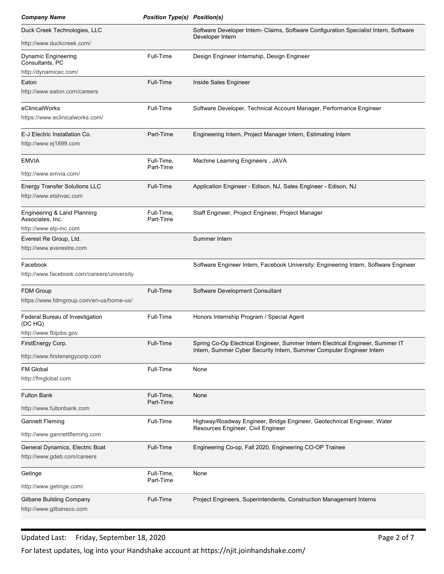| <b>Company Name</b>                                            | <b>Position Type(s) Position(s)</b> |                                                                                                                                                         |  |
|----------------------------------------------------------------|-------------------------------------|---------------------------------------------------------------------------------------------------------------------------------------------------------|--|
| Duck Creek Technologies, LLC                                   |                                     | Software Developer Intern- Claims, Software Configuration Specialist Intern, Software                                                                   |  |
| http://www.duckcreek.com/                                      |                                     | Developer Intern                                                                                                                                        |  |
| Dynamic Engineering<br>Consultants, PC                         | Full-Time                           | Design Engineer Internship, Design Engineer                                                                                                             |  |
| http://dynamicec.com/<br>Eaton                                 | Full-Time                           | Inside Sales Engineer                                                                                                                                   |  |
| http://www.eaton.com/careers                                   |                                     |                                                                                                                                                         |  |
| eClinicalWorks<br>https://www.eclinicalworks.com/              | Full-Time                           | Software Developer, Technical Account Manager, Performance Engineer                                                                                     |  |
| E-J Electric Installation Co.<br>http://www.ej1899.com         | Part-Time                           | Engineering Intern, Project Manager Intern, Estimating Intern                                                                                           |  |
| <b>EMVIA</b>                                                   | Full-Time,                          | Machine Learning Engineers, JAVA                                                                                                                        |  |
| http://www.emvia.com/                                          | Part-Time                           |                                                                                                                                                         |  |
| <b>Energy Transfer Solutions LLC</b><br>http://www.etshvac.com | Full-Time                           | Application Engineer - Edison, NJ, Sales Engineer - Edison, NJ                                                                                          |  |
| Engineering & Land Planning<br>Associates, Inc.                | Full-Time,<br>Part-Time             | Staff Engineer, Project Engineer, Project Manager                                                                                                       |  |
| http://www.elp-inc.com<br>Everest Re Group, Ltd.               |                                     | Summer Intern                                                                                                                                           |  |
| http://www.everestre.com                                       |                                     |                                                                                                                                                         |  |
| Facebook<br>http://www.facebook.com/careers/university         |                                     | Software Engineer Intern, Facebook University: Engineering Intern, Software Engineer                                                                    |  |
| FDM Group<br>https://www.fdmgroup.com/en-us/home-us/           | Full-Time                           | Software Development Consultant                                                                                                                         |  |
| Federal Bureau of Investigation                                | Full-Time                           | Honors Internship Program / Special Agent                                                                                                               |  |
| (DC HQ)<br>http://www.fbijobs.gov                              |                                     |                                                                                                                                                         |  |
| FirstEnergy Corp.                                              | Full-Time                           | Spring Co-Op Electrical Engineer, Summer Intern Electrical Engineer, Summer IT<br>Intern, Summer Cyber Security Intern, Summer Computer Engineer Intern |  |
| http://www.firstenergycorp.com                                 |                                     |                                                                                                                                                         |  |
| FM Global<br>http://fmglobal.com                               | Full-Time                           | None                                                                                                                                                    |  |
| <b>Fulton Bank</b>                                             | Full-Time,                          | None                                                                                                                                                    |  |
| http://www.fultonbank.com                                      | Part-Time                           |                                                                                                                                                         |  |
| <b>Gannett Fleming</b>                                         | Full-Time                           | Highway/Roadway Engineer, Bridge Engineer, Geotechnical Engineer, Water<br>Resources Engineer, Civil Engineer                                           |  |
| http://www.gannettfleming.com                                  |                                     |                                                                                                                                                         |  |
| General Dynamics, Electric Boat<br>http://www.gdeb.com/careers | Full-Time                           | Engineering Co-op, Fall 2020, Engineering CO-OP Trainee                                                                                                 |  |
| Getinge                                                        | Full-Time,                          | None                                                                                                                                                    |  |
| http://www.getinge.com/                                        | Part-Time                           |                                                                                                                                                         |  |
| <b>Gilbane Building Company</b><br>http://www.gilbaneco.com    | Full-Time                           | Project Engineers, Superintendents, Construction Management Interns                                                                                     |  |

## Updated Last: Friday, September 18, 2020 Page 2 of 7

For latest updates, log into your Handshake account at https://njit.joinhandshake.com/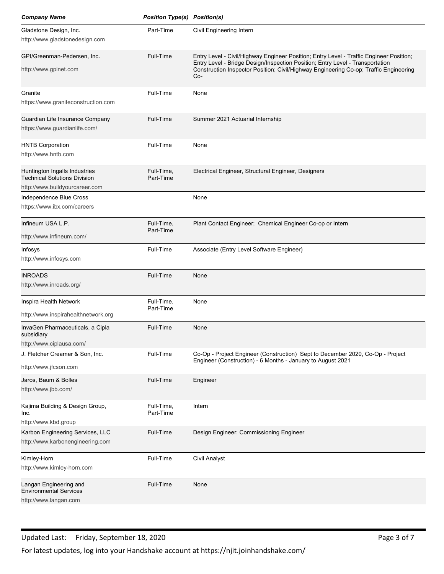| <b>Company Name</b>                                                                                    | <b>Position Type(s) Position(s)</b> |                                                                                                                                                                                                                                                                            |
|--------------------------------------------------------------------------------------------------------|-------------------------------------|----------------------------------------------------------------------------------------------------------------------------------------------------------------------------------------------------------------------------------------------------------------------------|
| Gladstone Design, Inc.                                                                                 | Part-Time                           | Civil Engineering Intern                                                                                                                                                                                                                                                   |
| http://www.gladstonedesign.com                                                                         |                                     |                                                                                                                                                                                                                                                                            |
| GPI/Greenman-Pedersen, Inc.<br>http://www.gpinet.com                                                   | Full-Time                           | Entry Level - Civil/Highway Engineer Position; Entry Level - Traffic Engineer Position;<br>Entry Level - Bridge Design/Inspection Position; Entry Level - Transportation<br>Construction Inspector Position; Civil/Highway Engineering Co-op; Traffic Engineering<br>$Co-$ |
| Granite<br>https://www.graniteconstruction.com                                                         | Full-Time                           | None                                                                                                                                                                                                                                                                       |
| Guardian Life Insurance Company<br>https://www.guardianlife.com/                                       | Full-Time                           | Summer 2021 Actuarial Internship                                                                                                                                                                                                                                           |
| <b>HNTB Corporation</b><br>http://www.hntb.com                                                         | Full-Time                           | None                                                                                                                                                                                                                                                                       |
| Huntington Ingalls Industries<br><b>Technical Solutions Division</b><br>http://www.buildyourcareer.com | Full-Time,<br>Part-Time             | Electrical Engineer, Structural Engineer, Designers                                                                                                                                                                                                                        |
| Independence Blue Cross<br>https://www.ibx.com/careers                                                 |                                     | None                                                                                                                                                                                                                                                                       |
| Infineum USA L.P.<br>http://www.infineum.com/                                                          | Full-Time,<br>Part-Time             | Plant Contact Engineer; Chemical Engineer Co-op or Intern                                                                                                                                                                                                                  |
| Infosys<br>http://www.infosys.com                                                                      | Full-Time                           | Associate (Entry Level Software Engineer)                                                                                                                                                                                                                                  |
| <b>INROADS</b><br>http://www.inroads.org/                                                              | Full-Time                           | None                                                                                                                                                                                                                                                                       |
| Inspira Health Network<br>http://www.inspirahealthnetwork.org                                          | Full-Time,<br>Part-Time             | None                                                                                                                                                                                                                                                                       |
| InvaGen Pharmaceuticals, a Cipla<br>subsidiary<br>http://www.ciplausa.com/                             | Full-Time                           | None                                                                                                                                                                                                                                                                       |
| J. Fletcher Creamer & Son, Inc.<br>http://www.jfcson.com                                               | Full-Time                           | Co-Op - Project Engineer (Construction) Sept to December 2020, Co-Op - Project<br>Engineer (Construction) - 6 Months - January to August 2021                                                                                                                              |
| Jaros, Baum & Bolles<br>http://www.jbb.com/                                                            | Full-Time                           | Engineer                                                                                                                                                                                                                                                                   |
| Kajima Building & Design Group,<br>Inc.<br>http://www.kbd.group                                        | Full-Time,<br>Part-Time             | Intern                                                                                                                                                                                                                                                                     |
| Karbon Engineering Services, LLC<br>http://www.karbonengineering.com                                   | Full-Time                           | Design Engineer; Commissioning Engineer                                                                                                                                                                                                                                    |
| Kimley-Horn<br>http://www.kimley-horn.com                                                              | Full-Time                           | <b>Civil Analyst</b>                                                                                                                                                                                                                                                       |
| Langan Engineering and<br><b>Environmental Services</b><br>http://www.langan.com                       | Full-Time                           | None                                                                                                                                                                                                                                                                       |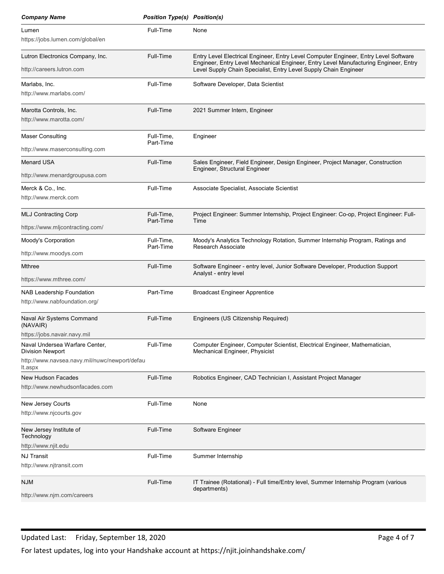| <b>Company Name</b>                                       | <b>Position Type(s) Position(s)</b> |                                                                                                                                                          |
|-----------------------------------------------------------|-------------------------------------|----------------------------------------------------------------------------------------------------------------------------------------------------------|
| Lumen                                                     | Full-Time                           | None                                                                                                                                                     |
| https://jobs.lumen.com/global/en                          |                                     |                                                                                                                                                          |
| Lutron Electronics Company, Inc.                          | Full-Time                           | Entry Level Electrical Engineer, Entry Level Computer Engineer, Entry Level Software                                                                     |
| http://careers.lutron.com                                 |                                     | Engineer, Entry Level Mechanical Engineer, Entry Level Manufacturing Engineer, Entry<br>Level Supply Chain Specialist, Entry Level Supply Chain Engineer |
| Marlabs, Inc.                                             | Full-Time                           | Software Developer, Data Scientist                                                                                                                       |
| http://www.marlabs.com/                                   |                                     |                                                                                                                                                          |
| Marotta Controls, Inc.                                    | Full-Time                           | 2021 Summer Intern, Engineer                                                                                                                             |
| http://www.marotta.com/                                   |                                     |                                                                                                                                                          |
| <b>Maser Consulting</b>                                   | Full-Time.                          | Engineer                                                                                                                                                 |
| http://www.maserconsulting.com                            | Part-Time                           |                                                                                                                                                          |
| <b>Menard USA</b>                                         | Full-Time                           | Sales Engineer, Field Engineer, Design Engineer, Project Manager, Construction                                                                           |
| http://www.menardgroupusa.com                             |                                     | Engineer, Structural Engineer                                                                                                                            |
| Merck & Co., Inc.                                         | Full-Time                           | Associate Specialist, Associate Scientist                                                                                                                |
| http://www.merck.com                                      |                                     |                                                                                                                                                          |
| <b>MLJ Contracting Corp</b>                               | Full-Time,<br>Part-Time             | Project Engineer: Summer Internship, Project Engineer: Co-op, Project Engineer: Full-<br>Time                                                            |
| https://www.mljcontracting.com/                           |                                     |                                                                                                                                                          |
| Moody's Corporation                                       | Full-Time,<br>Part-Time             | Moody's Analytics Technology Rotation, Summer Internship Program, Ratings and<br>Research Associate                                                      |
| http://www.moodys.com                                     |                                     |                                                                                                                                                          |
| Mthree                                                    | Full-Time                           | Software Engineer - entry level, Junior Software Developer, Production Support<br>Analyst - entry level                                                  |
| https://www.mthree.com/                                   |                                     |                                                                                                                                                          |
| NAB Leadership Foundation                                 | Part-Time                           | <b>Broadcast Engineer Apprentice</b>                                                                                                                     |
| http://www.nabfoundation.org/                             |                                     |                                                                                                                                                          |
| Naval Air Systems Command<br>(NAVAIR)                     | Full-Time                           | Engineers (US Citizenship Required)                                                                                                                      |
| https://jobs.navair.navy.mil                              |                                     |                                                                                                                                                          |
| Naval Undersea Warfare Center,<br><b>Division Newport</b> | Full-Time                           | Computer Engineer, Computer Scientist, Electrical Engineer, Mathematician,<br>Mechanical Engineer, Physicist                                             |
| http://www.navsea.navy.mil/nuwc/newport/defau             |                                     |                                                                                                                                                          |
| lt.aspx<br><b>New Hudson Facades</b>                      | Full-Time                           | Robotics Engineer, CAD Technician I, Assistant Project Manager                                                                                           |
| http://www.newhudsonfacades.com                           |                                     |                                                                                                                                                          |
| New Jersey Courts                                         | Full-Time                           | None                                                                                                                                                     |
| http://www.njcourts.gov                                   |                                     |                                                                                                                                                          |
| New Jersey Institute of                                   | Full-Time                           | Software Engineer                                                                                                                                        |
| Technology<br>http://www.njit.edu                         |                                     |                                                                                                                                                          |
| <b>NJ Transit</b>                                         | Full-Time                           | Summer Internship                                                                                                                                        |
| http://www.njtransit.com                                  |                                     |                                                                                                                                                          |
|                                                           |                                     |                                                                                                                                                          |
| <b>NJM</b>                                                | Full-Time                           | IT Trainee (Rotational) - Full time/Entry level, Summer Internship Program (various<br>departments)                                                      |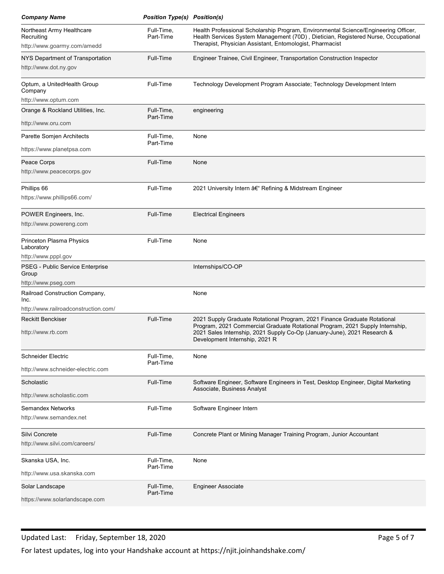| <b>Company Name</b>                                                             | <b>Position Type(s) Position(s)</b> |                                                                                                                                                                                                                                                                          |
|---------------------------------------------------------------------------------|-------------------------------------|--------------------------------------------------------------------------------------------------------------------------------------------------------------------------------------------------------------------------------------------------------------------------|
| Northeast Army Healthcare<br>Recruiting<br>http://www.goarmy.com/amedd          | Full-Time,<br>Part-Time             | Health Professional Scholarship Program, Environmental Science/Engineering Officer,<br>Health Services System Management (70D), Dietician, Registered Nurse, Occupational<br>Therapist, Physician Assistant, Entomologist, Pharmacist                                    |
| NYS Department of Transportation<br>http://www.dot.ny.gov                       | Full-Time                           | Engineer Trainee, Civil Engineer, Transportation Construction Inspector                                                                                                                                                                                                  |
| Optum, a UnitedHealth Group<br>Company                                          | Full-Time                           | Technology Development Program Associate; Technology Development Intern                                                                                                                                                                                                  |
| http://www.optum.com<br>Orange & Rockland Utilities, Inc.<br>http://www.oru.com | Full-Time,<br>Part-Time             | engineering                                                                                                                                                                                                                                                              |
| Parette Somjen Architects<br>https://www.planetpsa.com                          | Full-Time,<br>Part-Time             | None                                                                                                                                                                                                                                                                     |
| Peace Corps<br>http://www.peacecorps.gov                                        | Full-Time                           | None                                                                                                                                                                                                                                                                     |
| Phillips 66<br>https://www.phillips66.com/                                      | Full-Time                           | 2021 University Intern – Refining & Midstream Engineer                                                                                                                                                                                                                   |
| POWER Engineers, Inc.<br>http://www.powereng.com                                | Full-Time                           | <b>Electrical Engineers</b>                                                                                                                                                                                                                                              |
| Princeton Plasma Physics<br>Laboratory<br>http://www.pppl.gov                   | Full-Time                           | None                                                                                                                                                                                                                                                                     |
| PSEG - Public Service Enterprise<br>Group<br>http://www.pseg.com                |                                     | Internships/CO-OP                                                                                                                                                                                                                                                        |
| Railroad Construction Company,<br>Inc.<br>http://www.railroadconstruction.com/  |                                     | None                                                                                                                                                                                                                                                                     |
| <b>Reckitt Benckiser</b><br>http://www.rb.com                                   | Full-Time                           | 2021 Supply Graduate Rotational Program, 2021 Finance Graduate Rotational<br>Program, 2021 Commercial Graduate Rotational Program, 2021 Supply Internship,<br>2021 Sales Internship, 2021 Supply Co-Op (January-June), 2021 Research &<br>Development Internship, 2021 R |
| Schneider Electric<br>http://www.schneider-electric.com                         | Full-Time,<br>Part-Time             | None                                                                                                                                                                                                                                                                     |
| Scholastic<br>http://www.scholastic.com                                         | Full-Time                           | Software Engineer, Software Engineers in Test, Desktop Engineer, Digital Marketing<br>Associate, Business Analyst                                                                                                                                                        |
| <b>Semandex Networks</b><br>http://www.semandex.net                             | Full-Time                           | Software Engineer Intern                                                                                                                                                                                                                                                 |
| Silvi Concrete<br>http://www.silvi.com/careers/                                 | Full-Time                           | Concrete Plant or Mining Manager Training Program, Junior Accountant                                                                                                                                                                                                     |
| Skanska USA, Inc.<br>http://www.usa.skanska.com                                 | Full-Time,<br>Part-Time             | None                                                                                                                                                                                                                                                                     |
| Solar Landscape                                                                 | Full-Time,                          | <b>Engineer Associate</b>                                                                                                                                                                                                                                                |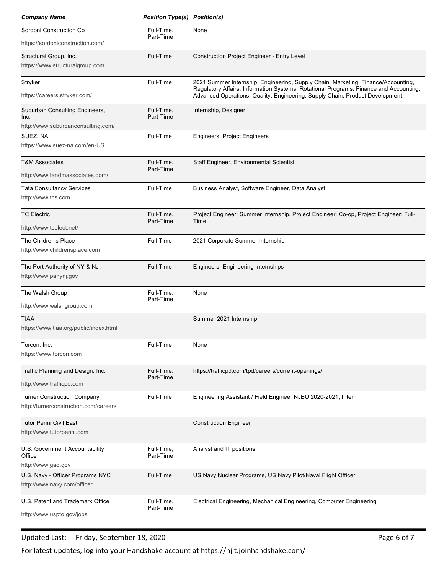| <b>Company Name</b>                                                          | <b>Position Type(s) Position(s)</b> |                                                                                                                                                                                                                                                             |
|------------------------------------------------------------------------------|-------------------------------------|-------------------------------------------------------------------------------------------------------------------------------------------------------------------------------------------------------------------------------------------------------------|
| Sordoni Construction Co                                                      | Full-Time,                          | None                                                                                                                                                                                                                                                        |
| https://sordoniconstruction.com/                                             | Part-Time                           |                                                                                                                                                                                                                                                             |
| Structural Group, Inc.<br>https://www.structuralgroup.com                    | Full-Time                           | Construction Project Engineer - Entry Level                                                                                                                                                                                                                 |
| Stryker<br>https://careers.stryker.com/                                      | Full-Time                           | 2021 Summer Internship: Engineering, Supply Chain, Marketing, Finance/Accounting,<br>Regulatory Affairs, Information Systems. Rotational Programs: Finance and Accounting,<br>Advanced Operations, Quality, Engineering, Supply Chain, Product Development. |
| Suburban Consulting Engineers,<br>Inc.<br>http://www.suburbanconsulting.com/ | Full-Time,<br>Part-Time             | Internship, Designer                                                                                                                                                                                                                                        |
| SUEZ, NA<br>https://www.suez-na.com/en-US                                    | Full-Time                           | Engineers, Project Engineers                                                                                                                                                                                                                                |
| <b>T&amp;M Associates</b><br>http://www.tandmassociates.com/                 | Full-Time,<br>Part-Time             | Staff Engineer, Environmental Scientist                                                                                                                                                                                                                     |
| <b>Tata Consultancy Services</b><br>http://www.tcs.com                       | Full-Time                           | Business Analyst, Software Engineer, Data Analyst                                                                                                                                                                                                           |
| <b>TC Electric</b><br>http://www.tcelect.net/                                | Full-Time,<br>Part-Time             | Project Engineer: Summer Internship, Project Engineer: Co-op, Project Engineer: Full-<br>Time                                                                                                                                                               |
| The Children's Place<br>http://www.childrensplace.com                        | Full-Time                           | 2021 Corporate Summer Internship                                                                                                                                                                                                                            |
| The Port Authority of NY & NJ<br>http://www.panynj.gov                       | Full-Time                           | Engineers, Engineering Internships                                                                                                                                                                                                                          |
| The Walsh Group<br>http://www.walshgroup.com                                 | Full-Time,<br>Part-Time             | None                                                                                                                                                                                                                                                        |
| <b>TIAA</b><br>https://www.tiaa.org/public/index.html                        |                                     | Summer 2021 Internship                                                                                                                                                                                                                                      |
| Torcon, Inc.<br>https://www.torcon.com                                       | Full-Time                           | None                                                                                                                                                                                                                                                        |
| Traffic Planning and Design, Inc.<br>http://www.trafficpd.com                | Full-Time,<br>Part-Time             | https://trafficpd.com/tpd/careers/current-openings/                                                                                                                                                                                                         |
| <b>Turner Construction Company</b><br>http://turnerconstruction.com/careers  | Full-Time                           | Engineering Assistant / Field Engineer NJBU 2020-2021, Intern                                                                                                                                                                                               |
| <b>Tutor Perini Civil East</b><br>http://www.tutorperini.com                 |                                     | <b>Construction Engineer</b>                                                                                                                                                                                                                                |
| U.S. Government Accountability<br>Office<br>http://www.gao.gov               | Full-Time,<br>Part-Time             | Analyst and IT positions                                                                                                                                                                                                                                    |
| U.S. Navy - Officer Programs NYC<br>http://www.navy.com/officer              | Full-Time                           | US Navy Nuclear Programs, US Navy Pilot/Naval Flight Officer                                                                                                                                                                                                |
|                                                                              | Full-Time,                          | Electrical Engineering, Mechanical Engineering, Computer Engineering                                                                                                                                                                                        |

## Updated Last: Friday, September 18, 2020 **Page 6 of 7** and 2008 Page 6 of 7